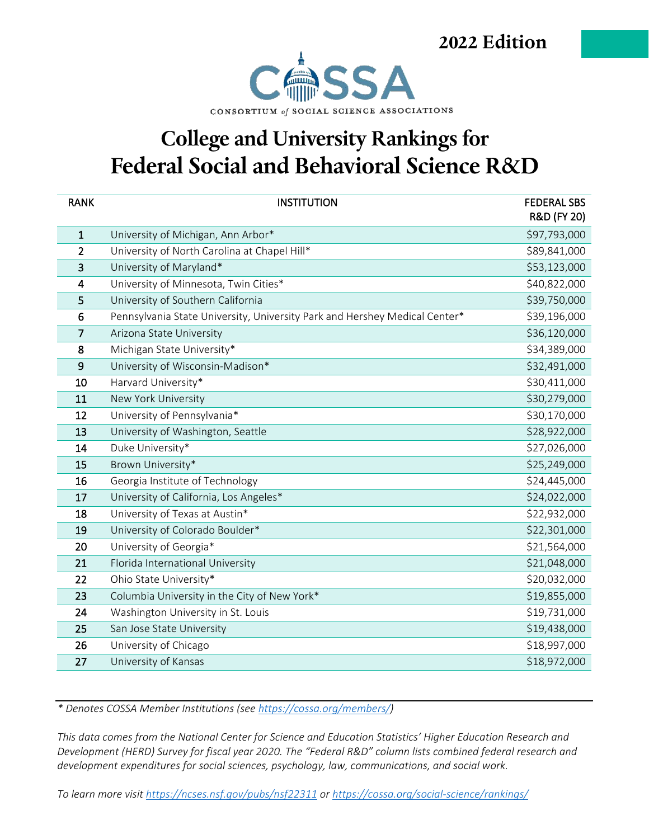2022 Edition



#### **College and University Rankings for** Federal Social and Behavioral Science R&D

| <b>RANK</b>             | <b>INSTITUTION</b>                                                         | <b>FEDERAL SBS</b><br>R&D (FY 20) |
|-------------------------|----------------------------------------------------------------------------|-----------------------------------|
| $\mathbf{1}$            | University of Michigan, Ann Arbor*                                         | \$97,793,000                      |
| 2                       | University of North Carolina at Chapel Hill*                               | \$89,841,000                      |
| 3                       | University of Maryland*                                                    | \$53,123,000                      |
| $\overline{\mathbf{4}}$ | University of Minnesota, Twin Cities*                                      | \$40,822,000                      |
| 5                       | University of Southern California                                          | \$39,750,000                      |
| 6                       | Pennsylvania State University, University Park and Hershey Medical Center* | \$39,196,000                      |
| $\overline{7}$          | Arizona State University                                                   | \$36,120,000                      |
| 8                       | Michigan State University*                                                 | \$34,389,000                      |
| 9                       | University of Wisconsin-Madison*                                           | \$32,491,000                      |
| 10                      | Harvard University*                                                        | \$30,411,000                      |
| 11                      | New York University                                                        | \$30,279,000                      |
| 12                      | University of Pennsylvania*                                                | \$30,170,000                      |
| 13                      | University of Washington, Seattle                                          | \$28,922,000                      |
| 14                      | Duke University*                                                           | \$27,026,000                      |
| 15                      | Brown University*                                                          | \$25,249,000                      |
| 16                      | Georgia Institute of Technology                                            | \$24,445,000                      |
| 17                      | University of California, Los Angeles*                                     | \$24,022,000                      |
| 18                      | University of Texas at Austin*                                             | \$22,932,000                      |
| 19                      | University of Colorado Boulder*                                            | \$22,301,000                      |
| 20                      | University of Georgia*                                                     | \$21,564,000                      |
| 21                      | Florida International University                                           | \$21,048,000                      |
| 22                      | Ohio State University*                                                     | \$20,032,000                      |
| 23                      | Columbia University in the City of New York*                               | \$19,855,000                      |
| 24                      | Washington University in St. Louis                                         | \$19,731,000                      |
| 25                      | San Jose State University                                                  | \$19,438,000                      |
| 26                      | University of Chicago                                                      | \$18,997,000                      |
| 27                      | University of Kansas                                                       | \$18,972,000                      |

*\* Denotes COSSA Member Institutions (see [https://cossa.org/members/\)](https://cossa.org/members/)*

*This data comes from the National Center for Science and Education Statistics' Higher Education Research and Development (HERD) Survey for fiscal year 2020. The "Federal R&D" column lists combined federal research and development expenditures for social sciences, psychology, law, communications, and social work.*

*To learn more visit<https://ncses.nsf.gov/pubs/nsf22311> or<https://cossa.org/social-science/rankings/>*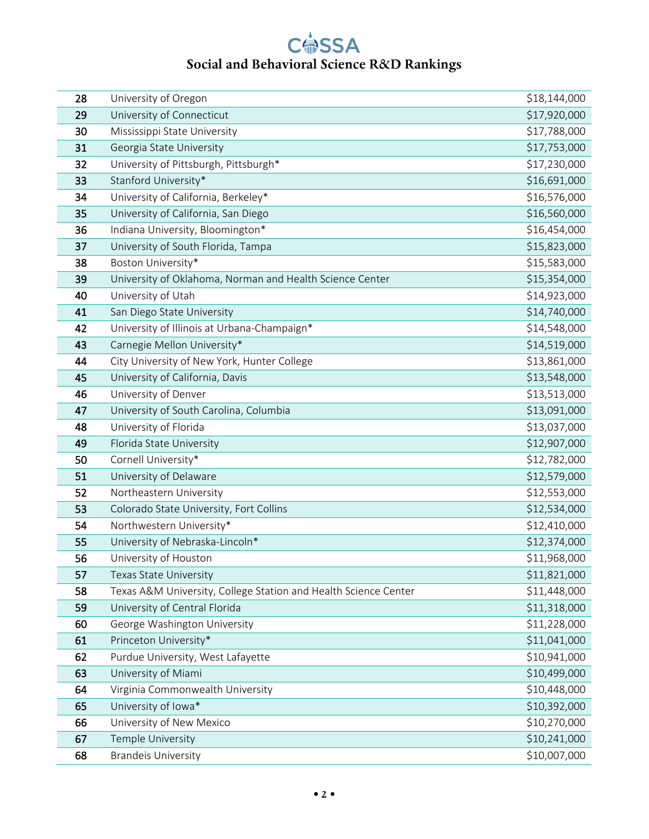| 28 | University of Oregon                                            | \$18,144,000 |
|----|-----------------------------------------------------------------|--------------|
| 29 | University of Connecticut                                       | \$17,920,000 |
| 30 | Mississippi State University                                    | \$17,788,000 |
| 31 | Georgia State University                                        | \$17,753,000 |
| 32 | University of Pittsburgh, Pittsburgh*                           | \$17,230,000 |
| 33 | Stanford University*                                            | \$16,691,000 |
| 34 | University of California, Berkeley*                             | \$16,576,000 |
| 35 | University of California, San Diego                             | \$16,560,000 |
| 36 | Indiana University, Bloomington*                                | \$16,454,000 |
| 37 | University of South Florida, Tampa                              | \$15,823,000 |
| 38 | Boston University*                                              | \$15,583,000 |
| 39 | University of Oklahoma, Norman and Health Science Center        | \$15,354,000 |
| 40 | University of Utah                                              | \$14,923,000 |
| 41 | San Diego State University                                      | \$14,740,000 |
| 42 | University of Illinois at Urbana-Champaign*                     | \$14,548,000 |
| 43 | Carnegie Mellon University*                                     | \$14,519,000 |
| 44 | City University of New York, Hunter College                     | \$13,861,000 |
| 45 | University of California, Davis                                 | \$13,548,000 |
| 46 | University of Denver                                            | \$13,513,000 |
| 47 | University of South Carolina, Columbia                          | \$13,091,000 |
| 48 | University of Florida                                           | \$13,037,000 |
| 49 | Florida State University                                        | \$12,907,000 |
| 50 | Cornell University*                                             | \$12,782,000 |
| 51 | University of Delaware                                          | \$12,579,000 |
| 52 | Northeastern University                                         | \$12,553,000 |
| 53 | Colorado State University, Fort Collins                         | \$12,534,000 |
| 54 | Northwestern University*                                        | \$12,410,000 |
| 55 | University of Nebraska-Lincoln*                                 | \$12,374,000 |
| 56 | University of Houston                                           | \$11,968,000 |
| 57 | Texas State University                                          | \$11,821,000 |
| 58 | Texas A&M University, College Station and Health Science Center | \$11,448,000 |
| 59 | University of Central Florida                                   | \$11,318,000 |
| 60 | George Washington University                                    | \$11,228,000 |
| 61 | Princeton University*                                           | \$11,041,000 |
| 62 | Purdue University, West Lafayette                               | \$10,941,000 |
| 63 | University of Miami                                             | \$10,499,000 |
| 64 | Virginia Commonwealth University                                | \$10,448,000 |
| 65 | University of Iowa*                                             | \$10,392,000 |
| 66 | University of New Mexico                                        | \$10,270,000 |
| 67 | Temple University                                               | \$10,241,000 |
| 68 | <b>Brandeis University</b>                                      | \$10,007,000 |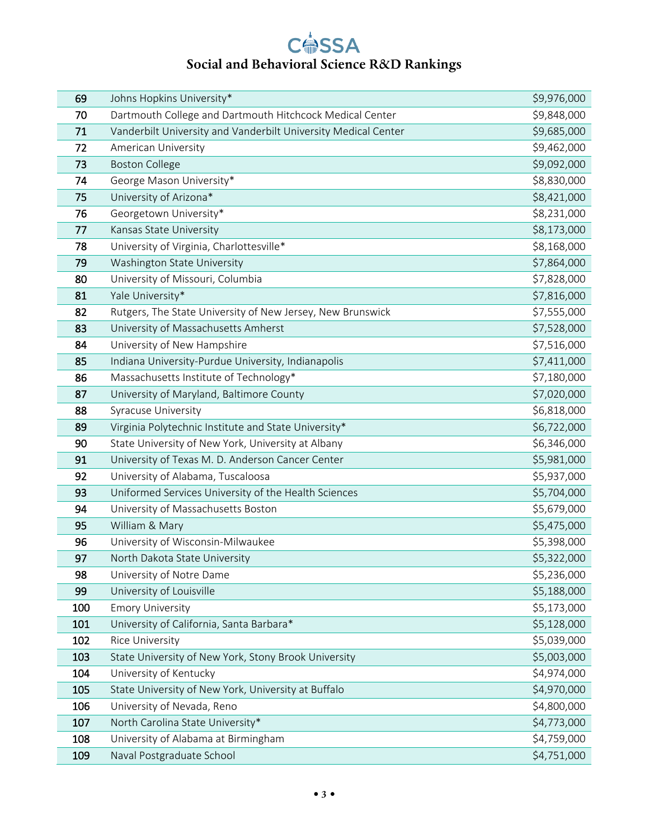| 69  | Johns Hopkins University*                                      | \$9,976,000 |
|-----|----------------------------------------------------------------|-------------|
| 70  | Dartmouth College and Dartmouth Hitchcock Medical Center       | \$9,848,000 |
| 71  | Vanderbilt University and Vanderbilt University Medical Center | \$9,685,000 |
| 72  | American University                                            | \$9,462,000 |
| 73  | <b>Boston College</b>                                          | \$9,092,000 |
| 74  | George Mason University*                                       | \$8,830,000 |
| 75  | University of Arizona*                                         | \$8,421,000 |
| 76  | Georgetown University*                                         | \$8,231,000 |
| 77  | Kansas State University                                        | \$8,173,000 |
| 78  | University of Virginia, Charlottesville*                       | \$8,168,000 |
| 79  | Washington State University                                    | \$7,864,000 |
| 80  | University of Missouri, Columbia                               | \$7,828,000 |
| 81  | Yale University*                                               | \$7,816,000 |
| 82  | Rutgers, The State University of New Jersey, New Brunswick     | \$7,555,000 |
| 83  | University of Massachusetts Amherst                            | \$7,528,000 |
| 84  | University of New Hampshire                                    | \$7,516,000 |
| 85  | Indiana University-Purdue University, Indianapolis             | \$7,411,000 |
| 86  | Massachusetts Institute of Technology*                         | \$7,180,000 |
| 87  | University of Maryland, Baltimore County                       | \$7,020,000 |
| 88  | Syracuse University                                            | \$6,818,000 |
| 89  | Virginia Polytechnic Institute and State University*           | \$6,722,000 |
| 90  | State University of New York, University at Albany             | \$6,346,000 |
| 91  | University of Texas M. D. Anderson Cancer Center               | \$5,981,000 |
| 92  | University of Alabama, Tuscaloosa                              | \$5,937,000 |
| 93  | Uniformed Services University of the Health Sciences           | \$5,704,000 |
| 94  | University of Massachusetts Boston                             | \$5,679,000 |
| 95  | William & Mary                                                 | \$5,475,000 |
| 96  | University of Wisconsin-Milwaukee                              | \$5,398,000 |
| 97  | North Dakota State University                                  | \$5,322,000 |
| 98  | University of Notre Dame                                       | \$5,236,000 |
| 99  | University of Louisville                                       | \$5,188,000 |
| 100 | <b>Emory University</b>                                        | \$5,173,000 |
| 101 | University of California, Santa Barbara*                       | \$5,128,000 |
| 102 | <b>Rice University</b>                                         | \$5,039,000 |
| 103 | State University of New York, Stony Brook University           | \$5,003,000 |
| 104 | University of Kentucky                                         | \$4,974,000 |
| 105 | State University of New York, University at Buffalo            | \$4,970,000 |
| 106 | University of Nevada, Reno                                     | \$4,800,000 |
| 107 | North Carolina State University*                               | \$4,773,000 |
| 108 | University of Alabama at Birmingham                            | \$4,759,000 |
| 109 | Naval Postgraduate School                                      | \$4,751,000 |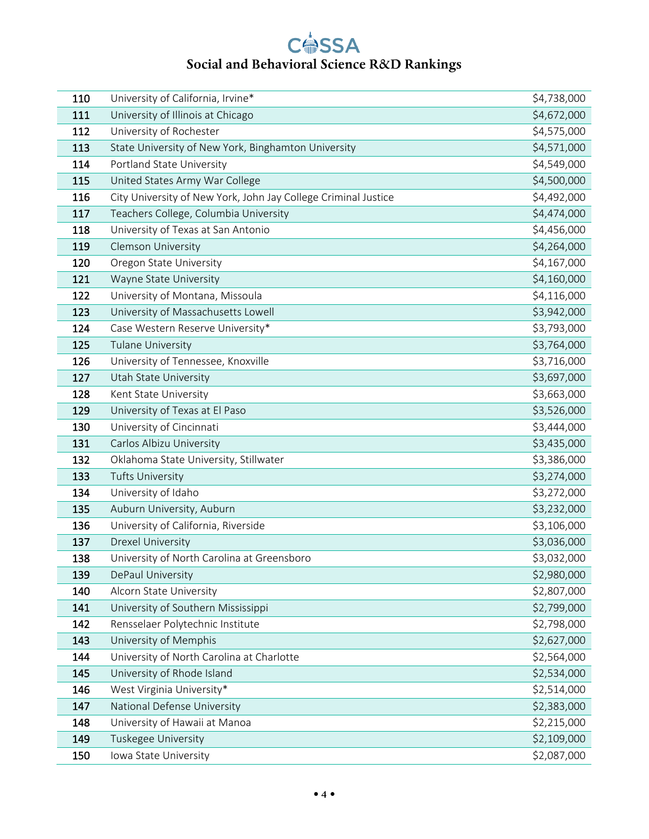| 110 | University of California, Irvine*                              | \$4,738,000 |
|-----|----------------------------------------------------------------|-------------|
| 111 | University of Illinois at Chicago                              | \$4,672,000 |
| 112 | University of Rochester                                        | \$4,575,000 |
| 113 | State University of New York, Binghamton University            | \$4,571,000 |
| 114 | Portland State University                                      | \$4,549,000 |
| 115 | United States Army War College                                 | \$4,500,000 |
| 116 | City University of New York, John Jay College Criminal Justice | \$4,492,000 |
| 117 | Teachers College, Columbia University                          | \$4,474,000 |
| 118 | University of Texas at San Antonio                             | \$4,456,000 |
| 119 | Clemson University                                             | \$4,264,000 |
| 120 | Oregon State University                                        | \$4,167,000 |
| 121 | Wayne State University                                         | \$4,160,000 |
| 122 | University of Montana, Missoula                                | \$4,116,000 |
| 123 | University of Massachusetts Lowell                             | \$3,942,000 |
| 124 | Case Western Reserve University*                               | \$3,793,000 |
| 125 | <b>Tulane University</b>                                       | \$3,764,000 |
| 126 | University of Tennessee, Knoxville                             | \$3,716,000 |
| 127 | Utah State University                                          | \$3,697,000 |
| 128 | Kent State University                                          | \$3,663,000 |
| 129 | University of Texas at El Paso                                 | \$3,526,000 |
| 130 | University of Cincinnati                                       | \$3,444,000 |
| 131 | Carlos Albizu University                                       | \$3,435,000 |
| 132 | Oklahoma State University, Stillwater                          | \$3,386,000 |
| 133 | <b>Tufts University</b>                                        | \$3,274,000 |
| 134 | University of Idaho                                            | \$3,272,000 |
| 135 | Auburn University, Auburn                                      | \$3,232,000 |
| 136 | University of California, Riverside                            | \$3,106,000 |
| 137 | <b>Drexel University</b>                                       | \$3,036,000 |
| 138 | University of North Carolina at Greensboro                     | \$3,032,000 |
| 139 | DePaul University                                              | \$2,980,000 |
| 140 | Alcorn State University                                        | \$2,807,000 |
| 141 | University of Southern Mississippi                             | \$2,799,000 |
| 142 | Rensselaer Polytechnic Institute                               | \$2,798,000 |
| 143 | University of Memphis                                          | \$2,627,000 |
| 144 | University of North Carolina at Charlotte                      | \$2,564,000 |
| 145 | University of Rhode Island                                     | \$2,534,000 |
| 146 | West Virginia University*                                      | \$2,514,000 |
| 147 | National Defense University                                    | \$2,383,000 |
| 148 | University of Hawaii at Manoa                                  | \$2,215,000 |
| 149 | Tuskegee University                                            | \$2,109,000 |
| 150 | Iowa State University                                          | \$2,087,000 |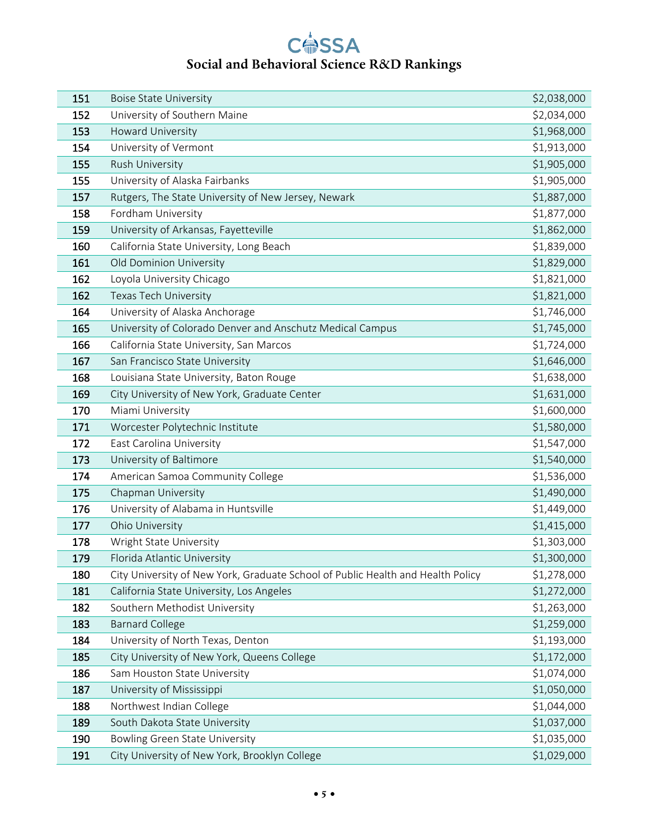| 151 | <b>Boise State University</b>                                                   | \$2,038,000 |
|-----|---------------------------------------------------------------------------------|-------------|
| 152 | University of Southern Maine                                                    | \$2,034,000 |
| 153 | Howard University                                                               | \$1,968,000 |
| 154 | University of Vermont                                                           | \$1,913,000 |
| 155 | Rush University                                                                 | \$1,905,000 |
| 155 | University of Alaska Fairbanks                                                  | \$1,905,000 |
| 157 | Rutgers, The State University of New Jersey, Newark                             | \$1,887,000 |
| 158 | Fordham University                                                              | \$1,877,000 |
| 159 | University of Arkansas, Fayetteville                                            | \$1,862,000 |
| 160 | California State University, Long Beach                                         | \$1,839,000 |
| 161 | Old Dominion University                                                         | \$1,829,000 |
| 162 | Loyola University Chicago                                                       | \$1,821,000 |
| 162 | Texas Tech University                                                           | \$1,821,000 |
| 164 | University of Alaska Anchorage                                                  | \$1,746,000 |
| 165 | University of Colorado Denver and Anschutz Medical Campus                       | \$1,745,000 |
| 166 | California State University, San Marcos                                         | \$1,724,000 |
| 167 | San Francisco State University                                                  | \$1,646,000 |
| 168 | Louisiana State University, Baton Rouge                                         | \$1,638,000 |
| 169 | City University of New York, Graduate Center                                    | \$1,631,000 |
| 170 | Miami University                                                                | \$1,600,000 |
| 171 | Worcester Polytechnic Institute                                                 | \$1,580,000 |
| 172 | East Carolina University                                                        | \$1,547,000 |
| 173 | University of Baltimore                                                         | \$1,540,000 |
| 174 | American Samoa Community College                                                | \$1,536,000 |
| 175 | Chapman University                                                              | \$1,490,000 |
| 176 | University of Alabama in Huntsville                                             | \$1,449,000 |
| 177 | Ohio University                                                                 | \$1,415,000 |
| 178 | Wright State University                                                         | \$1,303,000 |
| 179 | Florida Atlantic University                                                     | \$1,300,000 |
| 180 | City University of New York, Graduate School of Public Health and Health Policy | \$1,278,000 |
| 181 | California State University, Los Angeles                                        | \$1,272,000 |
| 182 | Southern Methodist University                                                   | \$1,263,000 |
| 183 | <b>Barnard College</b>                                                          | \$1,259,000 |
| 184 | University of North Texas, Denton                                               | \$1,193,000 |
| 185 | City University of New York, Queens College                                     | \$1,172,000 |
| 186 | Sam Houston State University                                                    | \$1,074,000 |
| 187 | University of Mississippi                                                       | \$1,050,000 |
| 188 | Northwest Indian College                                                        | \$1,044,000 |
| 189 | South Dakota State University                                                   | \$1,037,000 |
| 190 | Bowling Green State University                                                  | \$1,035,000 |
| 191 | City University of New York, Brooklyn College                                   | \$1,029,000 |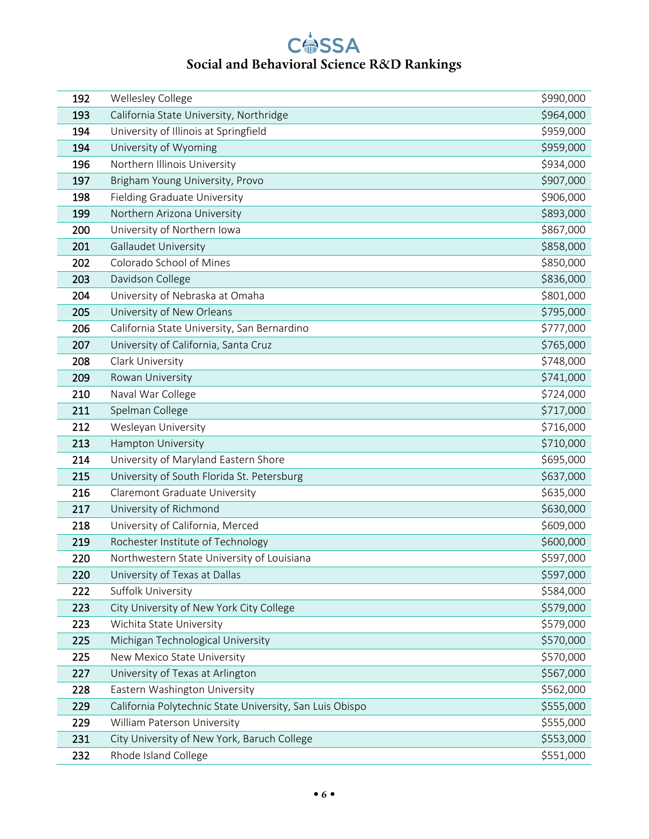| 192 | Wellesley College                                        | \$990,000 |
|-----|----------------------------------------------------------|-----------|
| 193 | California State University, Northridge                  | \$964,000 |
| 194 | University of Illinois at Springfield                    | \$959,000 |
| 194 | University of Wyoming                                    | \$959,000 |
| 196 | Northern Illinois University                             | \$934,000 |
| 197 | Brigham Young University, Provo                          | \$907,000 |
| 198 | Fielding Graduate University                             | \$906,000 |
| 199 | Northern Arizona University                              | \$893,000 |
| 200 | University of Northern Iowa                              | \$867,000 |
| 201 | <b>Gallaudet University</b>                              | \$858,000 |
| 202 | Colorado School of Mines                                 | \$850,000 |
| 203 | Davidson College                                         | \$836,000 |
| 204 | University of Nebraska at Omaha                          | \$801,000 |
| 205 | University of New Orleans                                | \$795,000 |
| 206 | California State University, San Bernardino              | \$777,000 |
| 207 | University of California, Santa Cruz                     | \$765,000 |
| 208 | Clark University                                         | \$748,000 |
| 209 | Rowan University                                         | \$741,000 |
| 210 | Naval War College                                        | \$724,000 |
| 211 | Spelman College                                          | \$717,000 |
| 212 | Wesleyan University                                      | \$716,000 |
| 213 | Hampton University                                       | \$710,000 |
| 214 | University of Maryland Eastern Shore                     | \$695,000 |
| 215 | University of South Florida St. Petersburg               | \$637,000 |
| 216 | Claremont Graduate University                            | \$635,000 |
| 217 | University of Richmond                                   | \$630,000 |
| 218 | University of California, Merced                         | \$609,000 |
| 219 | Rochester Institute of Technology                        | \$600,000 |
| 220 | Northwestern State University of Louisiana               | \$597,000 |
| 220 | University of Texas at Dallas                            | \$597,000 |
| 222 | Suffolk University                                       | \$584,000 |
| 223 | City University of New York City College                 | \$579,000 |
| 223 | Wichita State University                                 | \$579,000 |
| 225 | Michigan Technological University                        | \$570,000 |
| 225 | New Mexico State University                              | \$570,000 |
| 227 | University of Texas at Arlington                         | \$567,000 |
| 228 | Eastern Washington University                            | \$562,000 |
| 229 | California Polytechnic State University, San Luis Obispo | \$555,000 |
| 229 | William Paterson University                              | \$555,000 |
| 231 | City University of New York, Baruch College              | \$553,000 |
| 232 | Rhode Island College                                     | \$551,000 |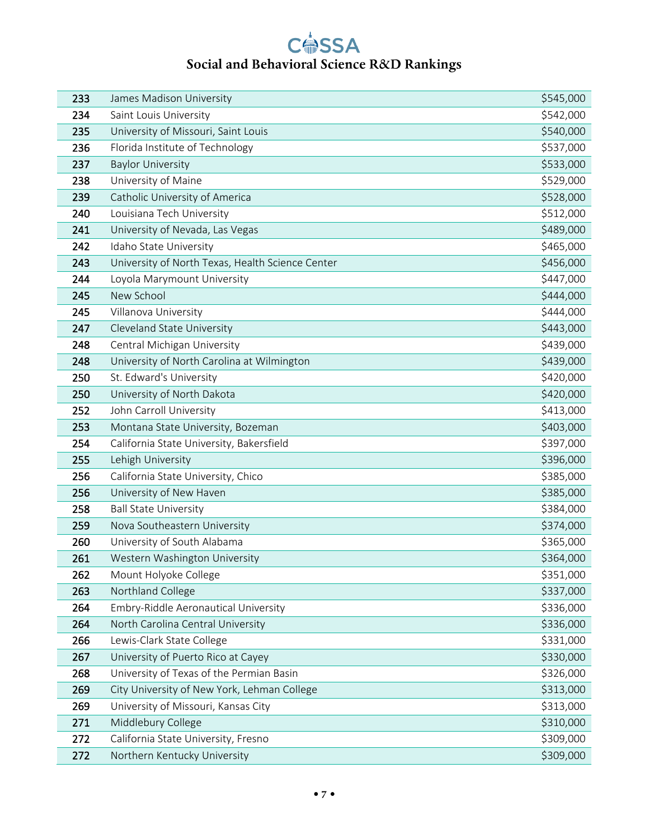| 233 | James Madison University                         | \$545,000 |
|-----|--------------------------------------------------|-----------|
| 234 | Saint Louis University                           | \$542,000 |
| 235 | University of Missouri, Saint Louis              | \$540,000 |
| 236 | Florida Institute of Technology                  | \$537,000 |
| 237 | <b>Baylor University</b>                         | \$533,000 |
| 238 | University of Maine                              | \$529,000 |
| 239 | Catholic University of America                   | \$528,000 |
| 240 | Louisiana Tech University                        | \$512,000 |
| 241 | University of Nevada, Las Vegas                  | \$489,000 |
| 242 | Idaho State University                           | \$465,000 |
| 243 | University of North Texas, Health Science Center | \$456,000 |
| 244 | Loyola Marymount University                      | \$447,000 |
| 245 | New School                                       | \$444,000 |
| 245 | Villanova University                             | \$444,000 |
| 247 | Cleveland State University                       | \$443,000 |
| 248 | Central Michigan University                      | \$439,000 |
| 248 | University of North Carolina at Wilmington       | \$439,000 |
| 250 | St. Edward's University                          | \$420,000 |
| 250 | University of North Dakota                       | \$420,000 |
| 252 | John Carroll University                          | \$413,000 |
| 253 | Montana State University, Bozeman                | \$403,000 |
| 254 | California State University, Bakersfield         | \$397,000 |
| 255 | Lehigh University                                | \$396,000 |
| 256 | California State University, Chico               | \$385,000 |
| 256 | University of New Haven                          | \$385,000 |
| 258 | <b>Ball State University</b>                     | \$384,000 |
| 259 | Nova Southeastern University                     | \$374,000 |
| 260 | University of South Alabama                      | \$365,000 |
| 261 | Western Washington University                    | \$364,000 |
| 262 | Mount Holyoke College                            | \$351,000 |
| 263 | Northland College                                | \$337,000 |
| 264 | Embry-Riddle Aeronautical University             | \$336,000 |
| 264 | North Carolina Central University                | \$336,000 |
| 266 | Lewis-Clark State College                        | \$331,000 |
| 267 | University of Puerto Rico at Cayey               | \$330,000 |
| 268 | University of Texas of the Permian Basin         | \$326,000 |
| 269 | City University of New York, Lehman College      | \$313,000 |
| 269 | University of Missouri, Kansas City              | \$313,000 |
| 271 | Middlebury College                               | \$310,000 |
| 272 | California State University, Fresno              | \$309,000 |
| 272 | Northern Kentucky University                     | \$309,000 |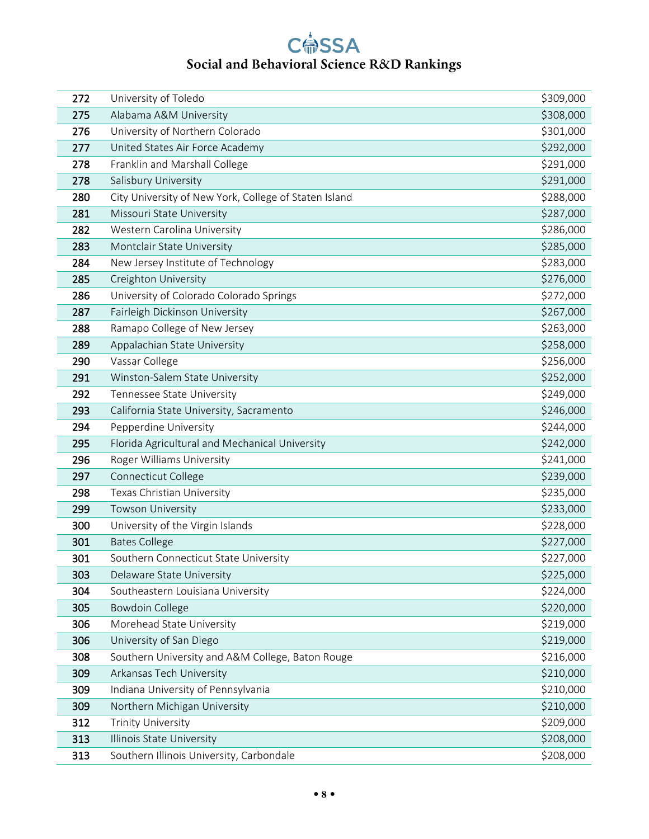| 272 | University of Toledo                                  | \$309,000 |
|-----|-------------------------------------------------------|-----------|
| 275 | Alabama A&M University                                | \$308,000 |
| 276 | University of Northern Colorado                       | \$301,000 |
| 277 | United States Air Force Academy                       | \$292,000 |
| 278 | Franklin and Marshall College                         | \$291,000 |
| 278 | Salisbury University                                  | \$291,000 |
| 280 | City University of New York, College of Staten Island | \$288,000 |
| 281 | Missouri State University                             | \$287,000 |
| 282 | Western Carolina University                           | \$286,000 |
| 283 | Montclair State University                            | \$285,000 |
| 284 | New Jersey Institute of Technology                    | \$283,000 |
| 285 | Creighton University                                  | \$276,000 |
| 286 | University of Colorado Colorado Springs               | \$272,000 |
| 287 | Fairleigh Dickinson University                        | \$267,000 |
| 288 | Ramapo College of New Jersey                          | \$263,000 |
| 289 | Appalachian State University                          | \$258,000 |
| 290 | Vassar College                                        | \$256,000 |
| 291 | Winston-Salem State University                        | \$252,000 |
| 292 | Tennessee State University                            | \$249,000 |
| 293 | California State University, Sacramento               | \$246,000 |
| 294 | Pepperdine University                                 | \$244,000 |
| 295 | Florida Agricultural and Mechanical University        | \$242,000 |
| 296 | Roger Williams University                             | \$241,000 |
| 297 | Connecticut College                                   | \$239,000 |
| 298 | Texas Christian University                            | \$235,000 |
| 299 | Towson University                                     | \$233,000 |
| 300 | University of the Virgin Islands                      | \$228,000 |
| 301 | <b>Bates College</b>                                  | \$227,000 |
| 301 | Southern Connecticut State University                 | \$227,000 |
| 303 | Delaware State University                             | \$225,000 |
| 304 | Southeastern Louisiana University                     | \$224,000 |
| 305 | <b>Bowdoin College</b>                                | \$220,000 |
| 306 | Morehead State University                             | \$219,000 |
| 306 | University of San Diego                               | \$219,000 |
| 308 | Southern University and A&M College, Baton Rouge      | \$216,000 |
| 309 | Arkansas Tech University                              | \$210,000 |
| 309 | Indiana University of Pennsylvania                    | \$210,000 |
| 309 | Northern Michigan University                          | \$210,000 |
| 312 | <b>Trinity University</b>                             | \$209,000 |
| 313 | Illinois State University                             | \$208,000 |
| 313 | Southern Illinois University, Carbondale              | \$208,000 |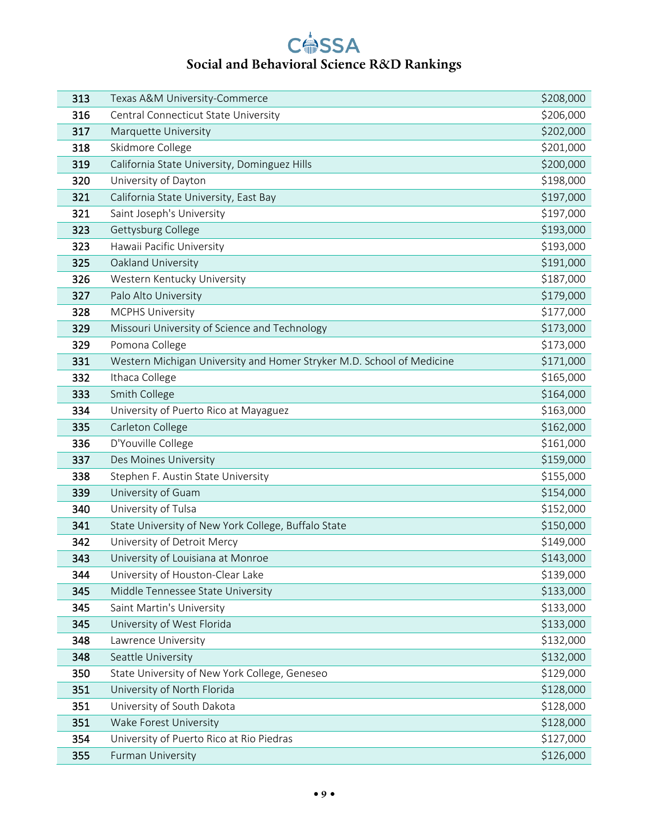| 313 | Texas A&M University-Commerce                                         | \$208,000 |
|-----|-----------------------------------------------------------------------|-----------|
| 316 | Central Connecticut State University                                  | \$206,000 |
| 317 | Marquette University                                                  | \$202,000 |
| 318 | Skidmore College                                                      | \$201,000 |
| 319 | California State University, Dominguez Hills                          | \$200,000 |
| 320 | University of Dayton                                                  | \$198,000 |
| 321 | California State University, East Bay                                 | \$197,000 |
| 321 | Saint Joseph's University                                             | \$197,000 |
| 323 | Gettysburg College                                                    | \$193,000 |
| 323 | Hawaii Pacific University                                             | \$193,000 |
| 325 | Oakland University                                                    | \$191,000 |
| 326 | Western Kentucky University                                           | \$187,000 |
| 327 | Palo Alto University                                                  | \$179,000 |
| 328 | <b>MCPHS University</b>                                               | \$177,000 |
| 329 | Missouri University of Science and Technology                         | \$173,000 |
| 329 | Pomona College                                                        | \$173,000 |
| 331 | Western Michigan University and Homer Stryker M.D. School of Medicine | \$171,000 |
| 332 | Ithaca College                                                        | \$165,000 |
| 333 | Smith College                                                         | \$164,000 |
| 334 | University of Puerto Rico at Mayaguez                                 | \$163,000 |
| 335 | Carleton College                                                      | \$162,000 |
| 336 | D'Youville College                                                    | \$161,000 |
| 337 | Des Moines University                                                 | \$159,000 |
| 338 | Stephen F. Austin State University                                    | \$155,000 |
| 339 | University of Guam                                                    | \$154,000 |
| 340 | University of Tulsa                                                   | \$152,000 |
| 341 | State University of New York College, Buffalo State                   | \$150,000 |
| 342 | University of Detroit Mercy                                           | \$149,000 |
| 343 | University of Louisiana at Monroe                                     | \$143,000 |
| 344 | University of Houston-Clear Lake                                      | \$139,000 |
| 345 | Middle Tennessee State University                                     | \$133,000 |
| 345 | Saint Martin's University                                             | \$133,000 |
| 345 | University of West Florida                                            | \$133,000 |
| 348 | Lawrence University                                                   | \$132,000 |
| 348 | Seattle University                                                    | \$132,000 |
| 350 | State University of New York College, Geneseo                         | \$129,000 |
| 351 | University of North Florida                                           | \$128,000 |
| 351 | University of South Dakota                                            | \$128,000 |
| 351 | Wake Forest University                                                | \$128,000 |
| 354 | University of Puerto Rico at Rio Piedras                              | \$127,000 |
| 355 | Furman University                                                     | \$126,000 |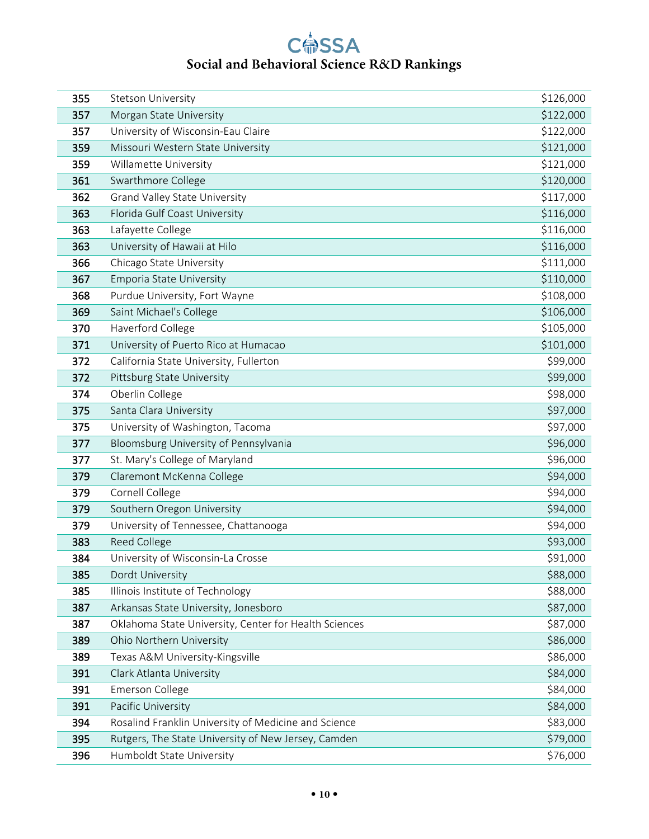| 355 | Stetson University                                    | \$126,000 |
|-----|-------------------------------------------------------|-----------|
| 357 | Morgan State University                               | \$122,000 |
| 357 | University of Wisconsin-Eau Claire                    | \$122,000 |
| 359 | Missouri Western State University                     | \$121,000 |
| 359 | Willamette University                                 | \$121,000 |
| 361 | Swarthmore College                                    | \$120,000 |
| 362 | <b>Grand Valley State University</b>                  | \$117,000 |
| 363 | Florida Gulf Coast University                         | \$116,000 |
| 363 | Lafayette College                                     | \$116,000 |
| 363 | University of Hawaii at Hilo                          | \$116,000 |
| 366 | Chicago State University                              | \$111,000 |
| 367 | <b>Emporia State University</b>                       | \$110,000 |
| 368 | Purdue University, Fort Wayne                         | \$108,000 |
| 369 | Saint Michael's College                               | \$106,000 |
| 370 | Haverford College                                     | \$105,000 |
| 371 | University of Puerto Rico at Humacao                  | \$101,000 |
| 372 | California State University, Fullerton                | \$99,000  |
| 372 | Pittsburg State University                            | \$99,000  |
| 374 | Oberlin College                                       | \$98,000  |
| 375 | Santa Clara University                                | \$97,000  |
| 375 | University of Washington, Tacoma                      | \$97,000  |
| 377 | Bloomsburg University of Pennsylvania                 | \$96,000  |
| 377 | St. Mary's College of Maryland                        | \$96,000  |
| 379 | Claremont McKenna College                             | \$94,000  |
| 379 | Cornell College                                       | \$94,000  |
| 379 | Southern Oregon University                            | \$94,000  |
| 379 | University of Tennessee, Chattanooga                  | \$94,000  |
| 383 | Reed College                                          | \$93,000  |
| 384 | University of Wisconsin-La Crosse                     | \$91,000  |
| 385 | Dordt University                                      | \$88,000  |
| 385 | Illinois Institute of Technology                      | \$88,000  |
| 387 | Arkansas State University, Jonesboro                  | \$87,000  |
| 387 | Oklahoma State University, Center for Health Sciences | \$87,000  |
| 389 | Ohio Northern University                              | \$86,000  |
| 389 | Texas A&M University-Kingsville                       | \$86,000  |
| 391 | Clark Atlanta University                              | \$84,000  |
| 391 | <b>Emerson College</b>                                | \$84,000  |
| 391 | Pacific University                                    | \$84,000  |
| 394 | Rosalind Franklin University of Medicine and Science  | \$83,000  |
| 395 | Rutgers, The State University of New Jersey, Camden   | \$79,000  |
| 396 | Humboldt State University                             | \$76,000  |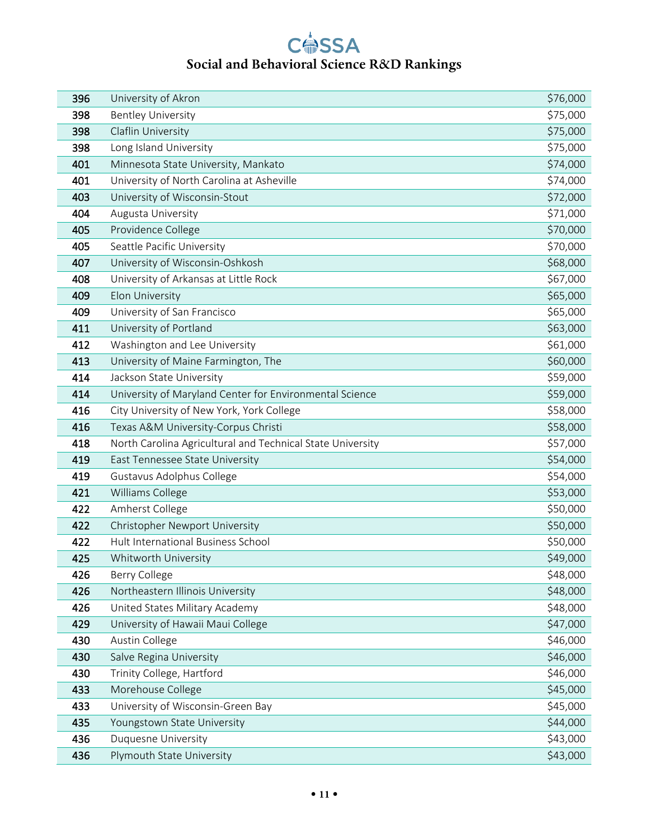| 396 | University of Akron                                        | \$76,000 |
|-----|------------------------------------------------------------|----------|
| 398 | <b>Bentley University</b>                                  | \$75,000 |
| 398 | Claflin University                                         | \$75,000 |
| 398 | Long Island University                                     | \$75,000 |
| 401 | Minnesota State University, Mankato                        | \$74,000 |
| 401 | University of North Carolina at Asheville                  | \$74,000 |
| 403 | University of Wisconsin-Stout                              | \$72,000 |
| 404 | Augusta University                                         | \$71,000 |
| 405 | Providence College                                         | \$70,000 |
| 405 | Seattle Pacific University                                 | \$70,000 |
| 407 | University of Wisconsin-Oshkosh                            | \$68,000 |
| 408 | University of Arkansas at Little Rock                      | \$67,000 |
| 409 | Elon University                                            | \$65,000 |
| 409 | University of San Francisco                                | \$65,000 |
| 411 | University of Portland                                     | \$63,000 |
| 412 | Washington and Lee University                              | \$61,000 |
| 413 | University of Maine Farmington, The                        | \$60,000 |
| 414 | Jackson State University                                   | \$59,000 |
| 414 | University of Maryland Center for Environmental Science    | \$59,000 |
| 416 | City University of New York, York College                  | \$58,000 |
| 416 | Texas A&M University-Corpus Christi                        | \$58,000 |
| 418 | North Carolina Agricultural and Technical State University | \$57,000 |
| 419 | East Tennessee State University                            | \$54,000 |
| 419 | Gustavus Adolphus College                                  | \$54,000 |
| 421 | Williams College                                           | \$53,000 |
| 422 | Amherst College                                            | \$50,000 |
| 422 | Christopher Newport University                             | \$50,000 |
| 422 | Hult International Business School                         | \$50,000 |
| 425 | Whitworth University                                       | \$49,000 |
| 426 | Berry College                                              | \$48,000 |
| 426 | Northeastern Illinois University                           | \$48,000 |
| 426 | United States Military Academy                             | \$48,000 |
| 429 | University of Hawaii Maui College                          | \$47,000 |
| 430 | Austin College                                             | \$46,000 |
| 430 | Salve Regina University                                    | \$46,000 |
| 430 | Trinity College, Hartford                                  | \$46,000 |
| 433 | Morehouse College                                          | \$45,000 |
| 433 | University of Wisconsin-Green Bay                          | \$45,000 |
| 435 | Youngstown State University                                | \$44,000 |
| 436 | Duquesne University                                        | \$43,000 |
| 436 | Plymouth State University                                  | \$43,000 |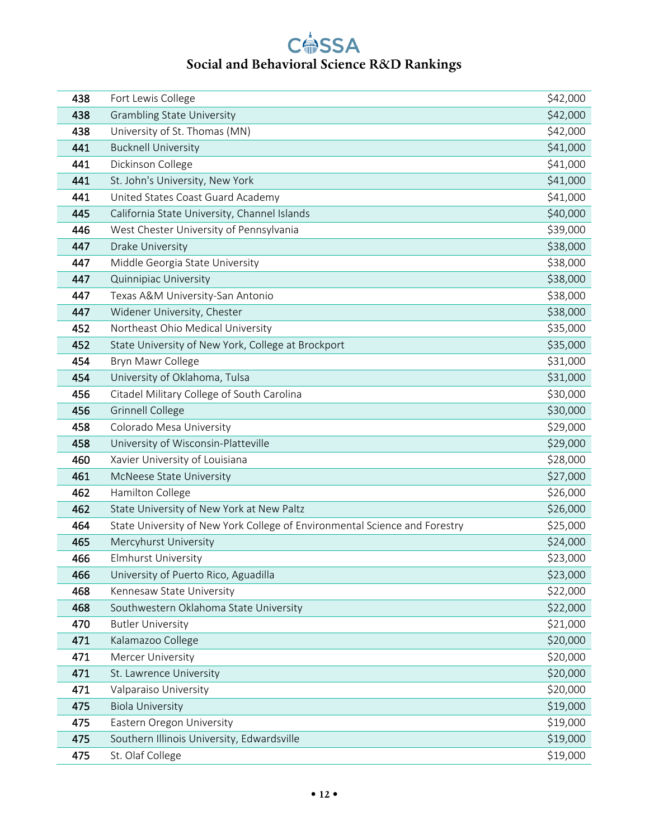| 438 | Fort Lewis College                                                         | \$42,000 |
|-----|----------------------------------------------------------------------------|----------|
| 438 | <b>Grambling State University</b>                                          | \$42,000 |
| 438 | University of St. Thomas (MN)                                              | \$42,000 |
| 441 | <b>Bucknell University</b>                                                 | \$41,000 |
| 441 | Dickinson College                                                          | \$41,000 |
| 441 | St. John's University, New York                                            | \$41,000 |
| 441 | United States Coast Guard Academy                                          | \$41,000 |
| 445 | California State University, Channel Islands                               | \$40,000 |
| 446 | West Chester University of Pennsylvania                                    | \$39,000 |
| 447 | Drake University                                                           | \$38,000 |
| 447 | Middle Georgia State University                                            | \$38,000 |
| 447 | <b>Quinnipiac University</b>                                               | \$38,000 |
| 447 | Texas A&M University-San Antonio                                           | \$38,000 |
| 447 | Widener University, Chester                                                | \$38,000 |
| 452 | Northeast Ohio Medical University                                          | \$35,000 |
| 452 | State University of New York, College at Brockport                         | \$35,000 |
| 454 | Bryn Mawr College                                                          | \$31,000 |
| 454 | University of Oklahoma, Tulsa                                              | \$31,000 |
| 456 | Citadel Military College of South Carolina                                 | \$30,000 |
| 456 | <b>Grinnell College</b>                                                    | \$30,000 |
| 458 | Colorado Mesa University                                                   | \$29,000 |
| 458 | University of Wisconsin-Platteville                                        | \$29,000 |
| 460 | Xavier University of Louisiana                                             | \$28,000 |
| 461 | McNeese State University                                                   | \$27,000 |
| 462 | Hamilton College                                                           | \$26,000 |
| 462 | State University of New York at New Paltz                                  | \$26,000 |
| 464 | State University of New York College of Environmental Science and Forestry | \$25,000 |
| 465 | Mercyhurst University                                                      | \$24,000 |
| 466 | <b>Elmhurst University</b>                                                 | \$23,000 |
| 466 | University of Puerto Rico, Aguadilla                                       | \$23,000 |
| 468 | Kennesaw State University                                                  | \$22,000 |
| 468 | Southwestern Oklahoma State University                                     | \$22,000 |
| 470 | <b>Butler University</b>                                                   | \$21,000 |
| 471 | Kalamazoo College                                                          | \$20,000 |
| 471 | Mercer University                                                          | \$20,000 |
| 471 | St. Lawrence University                                                    | \$20,000 |
| 471 | Valparaiso University                                                      | \$20,000 |
| 475 | <b>Biola University</b>                                                    | \$19,000 |
| 475 | Eastern Oregon University                                                  | \$19,000 |
| 475 | Southern Illinois University, Edwardsville                                 | \$19,000 |
| 475 | St. Olaf College                                                           | \$19,000 |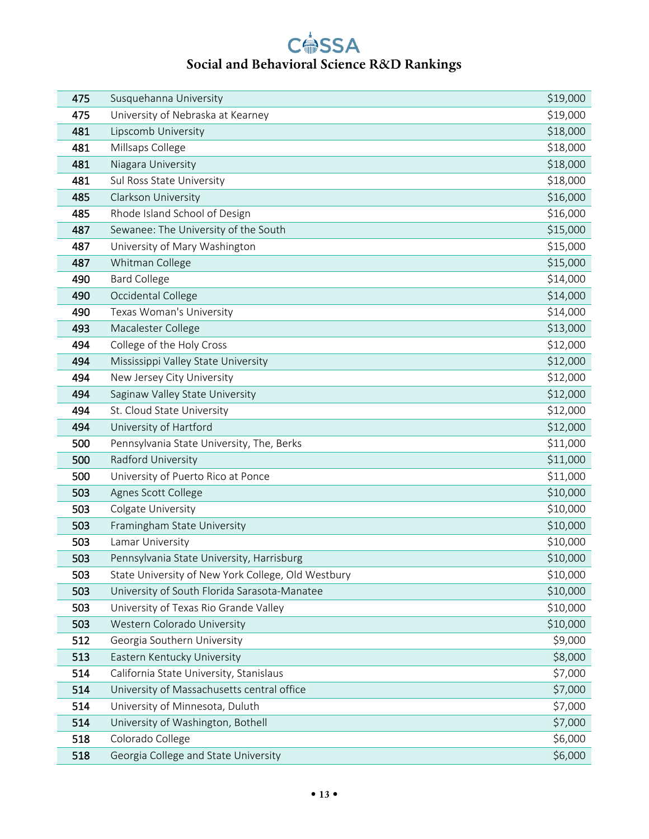| 475 | Susquehanna University                             | \$19,000 |
|-----|----------------------------------------------------|----------|
| 475 | University of Nebraska at Kearney                  | \$19,000 |
| 481 | Lipscomb University                                | \$18,000 |
| 481 | Millsaps College                                   | \$18,000 |
| 481 | Niagara University                                 | \$18,000 |
| 481 | Sul Ross State University                          | \$18,000 |
| 485 | Clarkson University                                | \$16,000 |
| 485 | Rhode Island School of Design                      | \$16,000 |
| 487 | Sewanee: The University of the South               | \$15,000 |
| 487 | University of Mary Washington                      | \$15,000 |
| 487 | Whitman College                                    | \$15,000 |
| 490 | <b>Bard College</b>                                | \$14,000 |
| 490 | Occidental College                                 | \$14,000 |
| 490 | Texas Woman's University                           | \$14,000 |
| 493 | Macalester College                                 | \$13,000 |
| 494 | College of the Holy Cross                          | \$12,000 |
| 494 | Mississippi Valley State University                | \$12,000 |
| 494 | New Jersey City University                         | \$12,000 |
| 494 | Saginaw Valley State University                    | \$12,000 |
| 494 | St. Cloud State University                         | \$12,000 |
| 494 | University of Hartford                             | \$12,000 |
| 500 | Pennsylvania State University, The, Berks          | \$11,000 |
| 500 | Radford University                                 | \$11,000 |
| 500 | University of Puerto Rico at Ponce                 | \$11,000 |
| 503 | Agnes Scott College                                | \$10,000 |
| 503 | Colgate University                                 | \$10,000 |
| 503 | Framingham State University                        | \$10,000 |
| 503 | Lamar University                                   | \$10,000 |
| 503 | Pennsylvania State University, Harrisburg          | \$10,000 |
| 503 | State University of New York College, Old Westbury | \$10,000 |
| 503 | University of South Florida Sarasota-Manatee       | \$10,000 |
| 503 | University of Texas Rio Grande Valley              | \$10,000 |
| 503 | Western Colorado University                        | \$10,000 |
| 512 | Georgia Southern University                        | \$9,000  |
| 513 | Eastern Kentucky University                        | \$8,000  |
| 514 | California State University, Stanislaus            | \$7,000  |
| 514 | University of Massachusetts central office         | \$7,000  |
| 514 | University of Minnesota, Duluth                    | \$7,000  |
| 514 | University of Washington, Bothell                  | \$7,000  |
| 518 | Colorado College                                   | \$6,000  |
| 518 | Georgia College and State University               | \$6,000  |